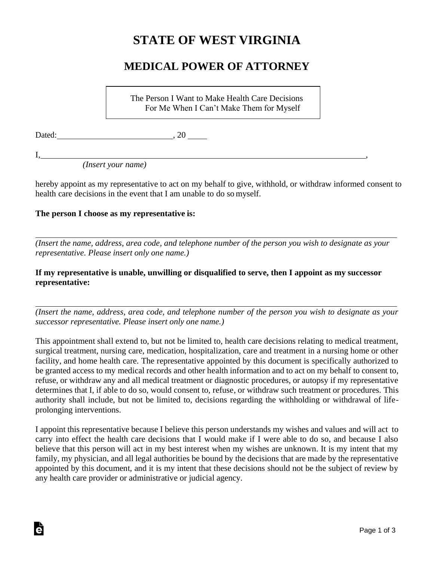# **STATE OF WEST VIRGINIA**

## **MEDICAL POWER OF ATTORNEY**

The Person I Want to Make Health Care Decisions For Me When I Can't Make Them for Myself

Dated: , 20

I, ,

*(Insert your name)*

hereby appoint as my representative to act on my behalf to give, withhold, or withdraw informed consent to health care decisions in the event that I am unable to do so myself.

#### **The person I choose as my representative is:**

*(Insert the name, address, area code, and telephone number of the person you wish to designate as your representative. Please insert only one name.)*

#### **If my representative is unable, unwilling or disqualified to serve, then I appoint as my successor representative:**

*(Insert the name, address, area code, and telephone number of the person you wish to designate as your successor representative. Please insert only one name.)*

This appointment shall extend to, but not be limited to, health care decisions relating to medical treatment, surgical treatment, nursing care, medication, hospitalization, care and treatment in a nursing home or other facility, and home health care. The representative appointed by this document is specifically authorized to be granted access to my medical records and other health information and to act on my behalf to consent to, refuse, or withdraw any and all medical treatment or diagnostic procedures, or autopsy if my representative determines that I, if able to do so, would consent to, refuse, or withdraw such treatment or procedures. This authority shall include, but not be limited to, decisions regarding the withholding or withdrawal of lifeprolonging interventions.

I appoint this representative because I believe this person understands my wishes and values and will act to carry into effect the health care decisions that I would make if I were able to do so, and because I also believe that this person will act in my best interest when my wishes are unknown. It is my intent that my family, my physician, and all legal authorities be bound by the decisions that are made by the representative appointed by this document, and it is my intent that these decisions should not be the subject of review by any health care provider or administrative or judicial agency.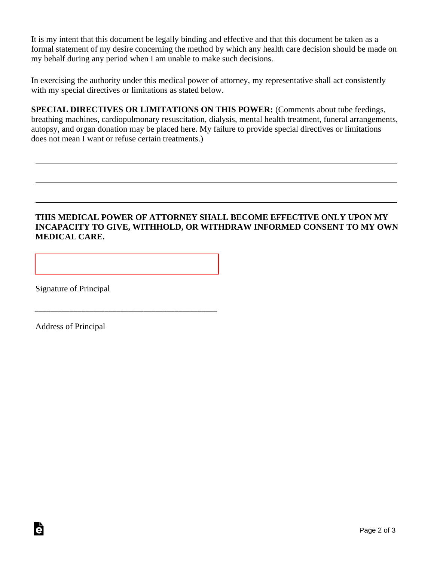It is my intent that this document be legally binding and effective and that this document be taken as a formal statement of my desire concerning the method by which any health care decision should be made on my behalf during any period when I am unable to make such decisions.

In exercising the authority under this medical power of attorney, my representative shall act consistently with my special directives or limitations as stated below.

**SPECIAL DIRECTIVES OR LIMITATIONS ON THIS POWER:** (Comments about tube feedings, breathing machines, cardiopulmonary resuscitation, dialysis, mental health treatment, funeral arrangements, autopsy, and organ donation may be placed here. My failure to provide special directives or limitations does not mean I want or refuse certain treatments.)

### **THIS MEDICAL POWER OF ATTORNEY SHALL BECOME EFFECTIVE ONLY UPON MY INCAPACITY TO GIVE, WITHHOLD, OR WITHDRAW INFORMED CONSENT TO MY OWN MEDICAL CARE.**

Signature of Principal

\_\_\_\_\_\_\_\_\_\_\_\_\_\_\_\_\_\_\_\_\_\_\_\_\_\_\_\_\_\_\_\_\_\_\_\_\_\_\_\_\_\_\_\_\_\_\_

Address of Principal